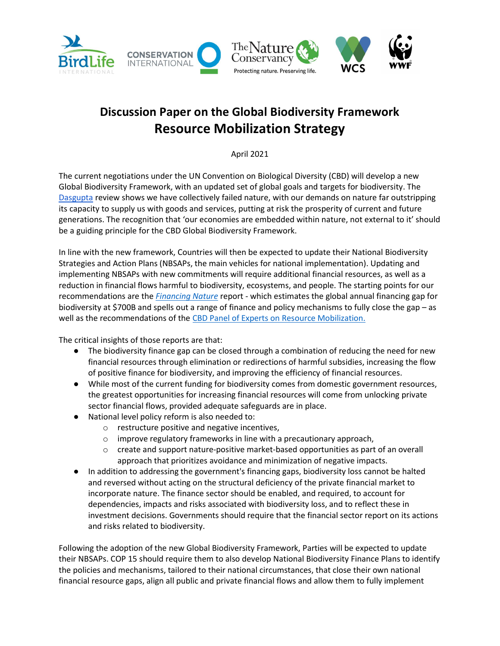

# Discussion Paper on the Global Biodiversity Framework Resource Mobilization Strategy

April 2021

The current negotiations under the UN Convention on Biological Diversity (CBD) will develop a new Global Biodiversity Framework, with an updated set of global goals and targets for biodiversity. The Dasgupta review shows we have collectively failed nature, with our demands on nature far outstripping its capacity to supply us with goods and services, putting at risk the prosperity of current and future generations. The recognition that 'our economies are embedded within nature, not external to it' should be a guiding principle for the CBD Global Biodiversity Framework.

In line with the new framework, Countries will then be expected to update their National Biodiversity Strategies and Action Plans (NBSAPs, the main vehicles for national implementation). Updating and implementing NBSAPs with new commitments will require additional financial resources, as well as a reduction in financial flows harmful to biodiversity, ecosystems, and people. The starting points for our recommendations are the *Financing Nature* report - which estimates the global annual financing gap for biodiversity at \$700B and spells out a range of finance and policy mechanisms to fully close the gap – as well as the recommendations of the CBD Panel of Experts on Resource Mobilization.

The critical insights of those reports are that:

- The biodiversity finance gap can be closed through a combination of reducing the need for new financial resources through elimination or redirections of harmful subsidies, increasing the flow of positive finance for biodiversity, and improving the efficiency of financial resources.
- While most of the current funding for biodiversity comes from domestic government resources, the greatest opportunities for increasing financial resources will come from unlocking private sector financial flows, provided adequate safeguards are in place.
- National level policy reform is also needed to:
	- o restructure positive and negative incentives,
	- o improve regulatory frameworks in line with a precautionary approach,
	- $\circ$  create and support nature-positive market-based opportunities as part of an overall approach that prioritizes avoidance and minimization of negative impacts.
- In addition to addressing the government's financing gaps, biodiversity loss cannot be halted and reversed without acting on the structural deficiency of the private financial market to incorporate nature. The finance sector should be enabled, and required, to account for dependencies, impacts and risks associated with biodiversity loss, and to reflect these in investment decisions. Governments should require that the financial sector report on its actions and risks related to biodiversity.

Following the adoption of the new Global Biodiversity Framework, Parties will be expected to update their NBSAPs. COP 15 should require them to also develop National Biodiversity Finance Plans to identify the policies and mechanisms, tailored to their national circumstances, that close their own national financial resource gaps, align all public and private financial flows and allow them to fully implement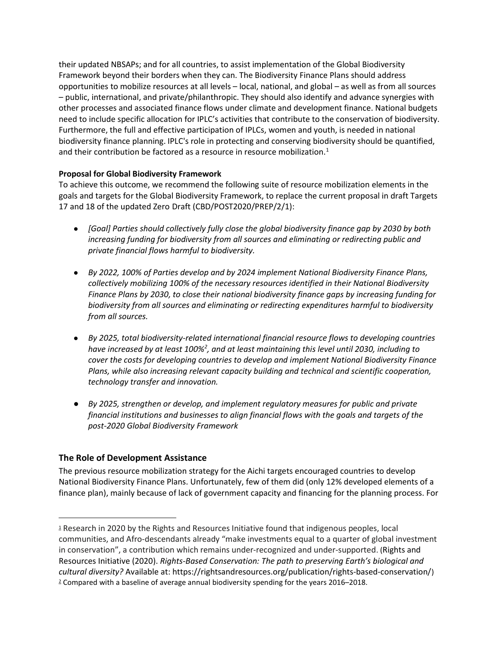their updated NBSAPs; and for all countries, to assist implementation of the Global Biodiversity Framework beyond their borders when they can. The Biodiversity Finance Plans should address opportunities to mobilize resources at all levels – local, national, and global – as well as from all sources – public, international, and private/philanthropic. They should also identify and advance synergies with other processes and associated finance flows under climate and development finance. National budgets need to include specific allocation for IPLC's activities that contribute to the conservation of biodiversity. Furthermore, the full and effective participation of IPLCs, women and youth, is needed in national biodiversity finance planning. IPLC's role in protecting and conserving biodiversity should be quantified, and their contribution be factored as a resource in resource mobilization.<sup>1</sup>

#### Proposal for Global Biodiversity Framework

To achieve this outcome, we recommend the following suite of resource mobilization elements in the goals and targets for the Global Biodiversity Framework, to replace the current proposal in draft Targets 17 and 18 of the updated Zero Draft (CBD/POST2020/PREP/2/1):

- [Goal] Parties should collectively fully close the global biodiversity finance gap by 2030 by both increasing funding for biodiversity from all sources and eliminating or redirecting public and private financial flows harmful to biodiversity.
- By 2022, 100% of Parties develop and by 2024 implement National Biodiversity Finance Plans, collectively mobilizing 100% of the necessary resources identified in their National Biodiversity Finance Plans by 2030, to close their national biodiversity finance gaps by increasing funding for biodiversity from all sources and eliminating or redirecting expenditures harmful to biodiversity from all sources.
- By 2025, total biodiversity-related international financial resource flows to developing countries have increased by at least 100% $^2$ , and at least maintaining this level until 2030, including to cover the costs for developing countries to develop and implement National Biodiversity Finance Plans, while also increasing relevant capacity building and technical and scientific cooperation, technology transfer and innovation.
- By 2025, strengthen or develop, and implement regulatory measures for public and private financial institutions and businesses to align financial flows with the goals and targets of the post-2020 Global Biodiversity Framework

## The Role of Development Assistance

The previous resource mobilization strategy for the Aichi targets encouraged countries to develop National Biodiversity Finance Plans. Unfortunately, few of them did (only 12% developed elements of a finance plan), mainly because of lack of government capacity and financing for the planning process. For

<sup>1</sup> Research in 2020 by the Rights and Resources Initiative found that indigenous peoples, local communities, and Afro-descendants already "make investments equal to a quarter of global investment in conservation", a contribution which remains under-recognized and under-supported. (Rights and Resources Initiative (2020). Rights-Based Conservation: The path to preserving Earth's biological and cultural diversity? Available at: https://rightsandresources.org/publication/rights-based-conservation/) 2 Compared with a baseline of average annual biodiversity spending for the years 2016–2018.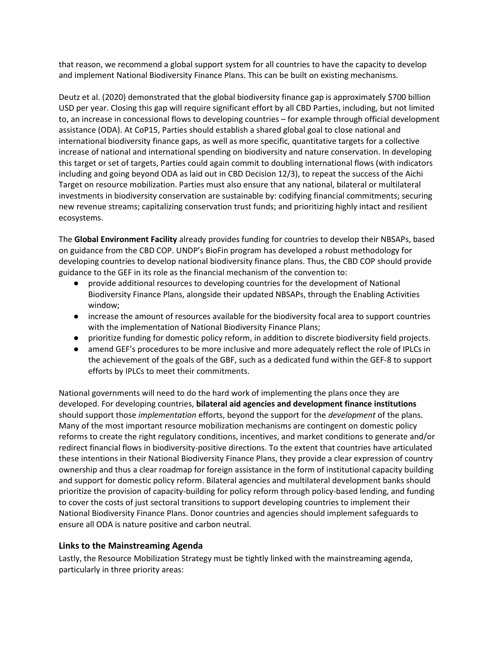that reason, we recommend a global support system for all countries to have the capacity to develop and implement National Biodiversity Finance Plans. This can be built on existing mechanisms.

Deutz et al. (2020) demonstrated that the global biodiversity finance gap is approximately \$700 billion USD per year. Closing this gap will require significant effort by all CBD Parties, including, but not limited to, an increase in concessional flows to developing countries – for example through official development assistance (ODA). At CoP15, Parties should establish a shared global goal to close national and international biodiversity finance gaps, as well as more specific, quantitative targets for a collective increase of national and international spending on biodiversity and nature conservation. In developing this target or set of targets, Parties could again commit to doubling international flows (with indicators including and going beyond ODA as laid out in CBD Decision 12/3), to repeat the success of the Aichi Target on resource mobilization. Parties must also ensure that any national, bilateral or multilateral investments in biodiversity conservation are sustainable by: codifying financial commitments; securing new revenue streams; capitalizing conservation trust funds; and prioritizing highly intact and resilient ecosystems.

The Global Environment Facility already provides funding for countries to develop their NBSAPs, based on guidance from the CBD COP. UNDP's BioFin program has developed a robust methodology for developing countries to develop national biodiversity finance plans. Thus, the CBD COP should provide guidance to the GEF in its role as the financial mechanism of the convention to:

- provide additional resources to developing countries for the development of National Biodiversity Finance Plans, alongside their updated NBSAPs, through the Enabling Activities window;
- increase the amount of resources available for the biodiversity focal area to support countries with the implementation of National Biodiversity Finance Plans;
- prioritize funding for domestic policy reform, in addition to discrete biodiversity field projects.
- amend GEF's procedures to be more inclusive and more adequately reflect the role of IPLCs in the achievement of the goals of the GBF, such as a dedicated fund within the GEF-8 to support efforts by IPLCs to meet their commitments.

National governments will need to do the hard work of implementing the plans once they are developed. For developing countries, bilateral aid agencies and development finance institutions should support those implementation efforts, beyond the support for the development of the plans. Many of the most important resource mobilization mechanisms are contingent on domestic policy reforms to create the right regulatory conditions, incentives, and market conditions to generate and/or redirect financial flows in biodiversity-positive directions. To the extent that countries have articulated these intentions in their National Biodiversity Finance Plans, they provide a clear expression of country ownership and thus a clear roadmap for foreign assistance in the form of institutional capacity building and support for domestic policy reform. Bilateral agencies and multilateral development banks should prioritize the provision of capacity-building for policy reform through policy-based lending, and funding to cover the costs of just sectoral transitions to support developing countries to implement their National Biodiversity Finance Plans. Donor countries and agencies should implement safeguards to ensure all ODA is nature positive and carbon neutral.

## Links to the Mainstreaming Agenda

Lastly, the Resource Mobilization Strategy must be tightly linked with the mainstreaming agenda, particularly in three priority areas: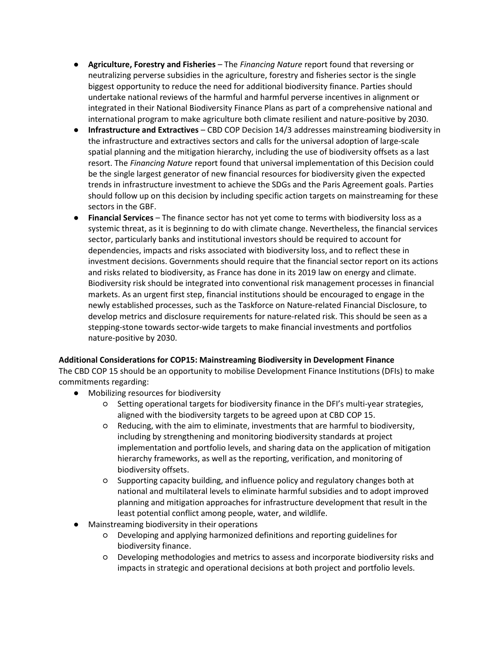- Agriculture, Forestry and Fisheries The Financing Nature report found that reversing or neutralizing perverse subsidies in the agriculture, forestry and fisheries sector is the single biggest opportunity to reduce the need for additional biodiversity finance. Parties should undertake national reviews of the harmful and harmful perverse incentives in alignment or integrated in their National Biodiversity Finance Plans as part of a comprehensive national and international program to make agriculture both climate resilient and nature-positive by 2030.
- Infrastructure and Extractives CBD COP Decision 14/3 addresses mainstreaming biodiversity in the infrastructure and extractives sectors and calls for the universal adoption of large-scale spatial planning and the mitigation hierarchy, including the use of biodiversity offsets as a last resort. The Financing Nature report found that universal implementation of this Decision could be the single largest generator of new financial resources for biodiversity given the expected trends in infrastructure investment to achieve the SDGs and the Paris Agreement goals. Parties should follow up on this decision by including specific action targets on mainstreaming for these sectors in the GBF.
- Financial Services The finance sector has not yet come to terms with biodiversity loss as a systemic threat, as it is beginning to do with climate change. Nevertheless, the financial services sector, particularly banks and institutional investors should be required to account for dependencies, impacts and risks associated with biodiversity loss, and to reflect these in investment decisions. Governments should require that the financial sector report on its actions and risks related to biodiversity, as France has done in its 2019 law on energy and climate. Biodiversity risk should be integrated into conventional risk management processes in financial markets. As an urgent first step, financial institutions should be encouraged to engage in the newly established processes, such as the Taskforce on Nature-related Financial Disclosure, to develop metrics and disclosure requirements for nature-related risk. This should be seen as a stepping-stone towards sector-wide targets to make financial investments and portfolios nature-positive by 2030.

#### Additional Considerations for COP15: Mainstreaming Biodiversity in Development Finance

The CBD COP 15 should be an opportunity to mobilise Development Finance Institutions (DFIs) to make commitments regarding:

- Mobilizing resources for biodiversity
	- Setting operational targets for biodiversity finance in the DFI's multi-year strategies, aligned with the biodiversity targets to be agreed upon at CBD COP 15.
	- Reducing, with the aim to eliminate, investments that are harmful to biodiversity, including by strengthening and monitoring biodiversity standards at project implementation and portfolio levels, and sharing data on the application of mitigation hierarchy frameworks, as well as the reporting, verification, and monitoring of biodiversity offsets.
	- Supporting capacity building, and influence policy and regulatory changes both at national and multilateral levels to eliminate harmful subsidies and to adopt improved planning and mitigation approaches for infrastructure development that result in the least potential conflict among people, water, and wildlife.
- Mainstreaming biodiversity in their operations
	- Developing and applying harmonized definitions and reporting guidelines for biodiversity finance.
	- Developing methodologies and metrics to assess and incorporate biodiversity risks and impacts in strategic and operational decisions at both project and portfolio levels.